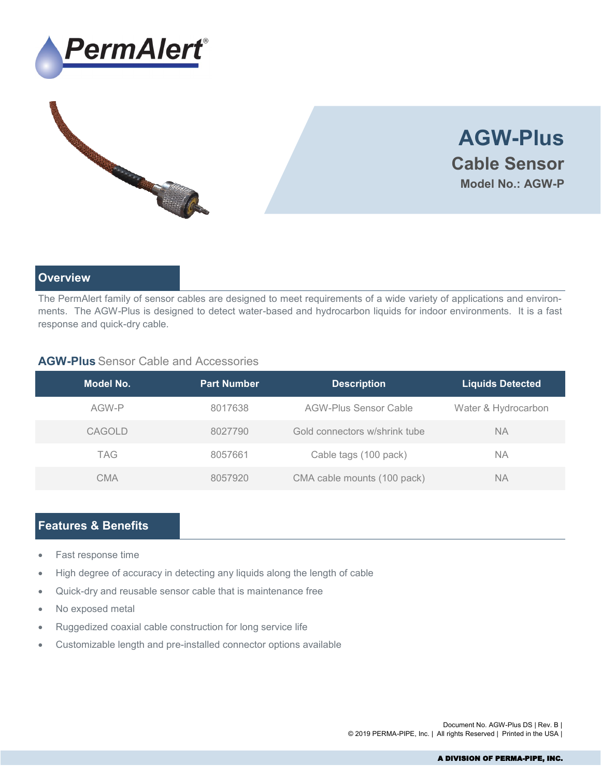





## **Overview**

The PermAlert family of sensor cables are designed to meet requirements of a wide variety of applications and environments. The AGW-Plus is designed to detect water-based and hydrocarbon liquids for indoor environments. It is a fast response and quick-dry cable.

### **AGW-Plus** Sensor Cable and Accessories

| Model No.     | <b>Part Number</b> | <b>Description</b>            | <b>Liquids Detected</b> |
|---------------|--------------------|-------------------------------|-------------------------|
| AGW-P         | 8017638            | AGW-Plus Sensor Cable         | Water & Hydrocarbon     |
| <b>CAGOLD</b> | 8027790            | Gold connectors w/shrink tube | <b>NA</b>               |
| <b>TAG</b>    | 8057661            | Cable tags (100 pack)         | NA.                     |
| <b>CMA</b>    | 8057920            | CMA cable mounts (100 pack)   | NА                      |

## **Features & Benefits**

- Fast response time
- High degree of accuracy in detecting any liquids along the length of cable
- Quick-dry and reusable sensor cable that is maintenance free
- No exposed metal
- Ruggedized coaxial cable construction for long service life
- Customizable length and pre-installed connector options available